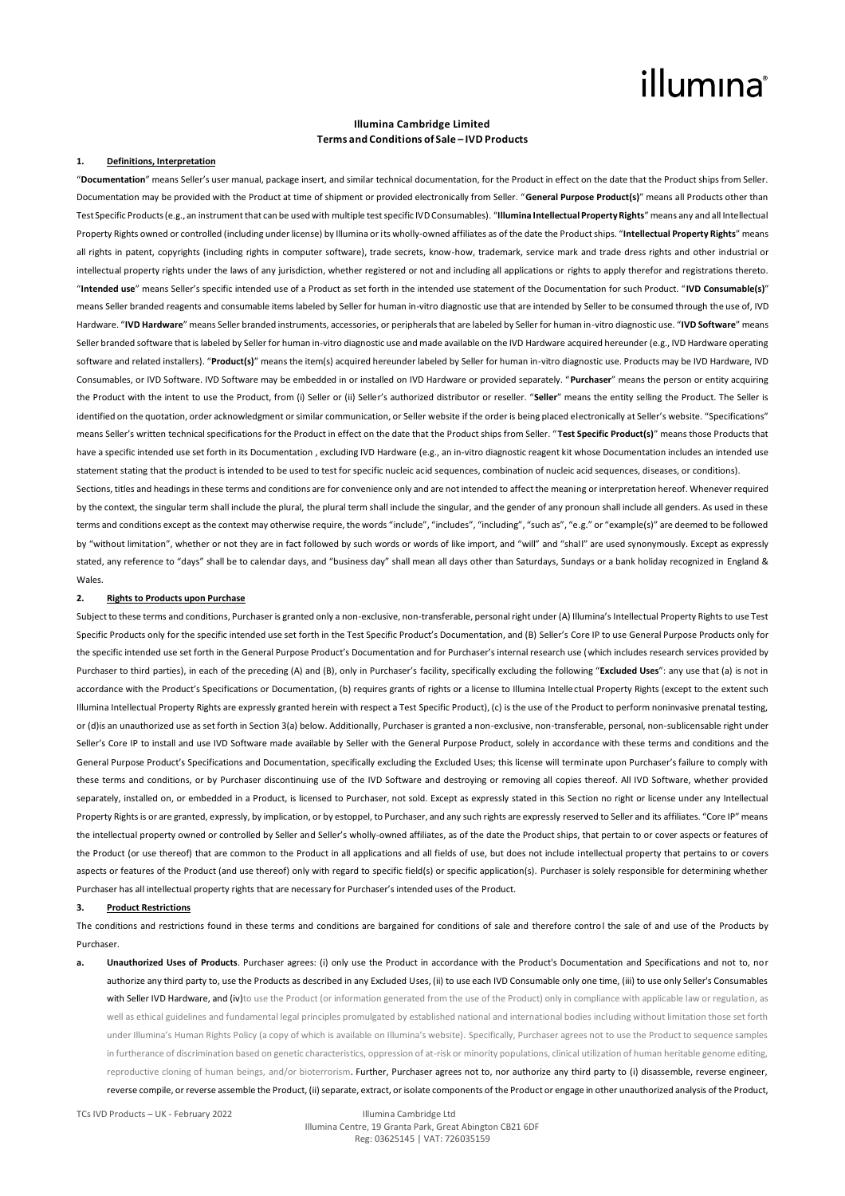## **Illumina Cambridge Limited Terms and Conditions of Sale – IVD Products**

#### **1. Definitions, Interpretation**

"**Documentation**" means Seller's user manual, package insert, and similar technical documentation, for the Product in effect on the date that the Product ships from Seller. Documentation may be provided with the Product at time of shipment or provided electronically from Seller. "**General Purpose Product(s)**" means all Products other than Test Specific Products (e.g., an instrument that can be used with multiple test specific IVD Consumables). "**Illumina Intellectual Property Rights**" means any and all Intellectual Property Rights owned or controlled (including under license) by Illumina or its wholly-owned affiliates as of the date the Product ships. "**Intellectual Property Rights**" means all rights in patent, copyrights (including rights in computer software), trade secrets, know-how, trademark, service mark and trade dress rights and other industrial or intellectual property rights under the laws of any jurisdiction, whether registered or not and including all applications or rights to apply therefor and registrations thereto. "**Intended use**" means Seller's specific intended use of a Product as set forth in the intended use statement of the Documentation for such Product. "**IVD Consumable(s)**" means Seller branded reagents and consumable items labeled by Seller for human in-vitro diagnostic use that are intended by Seller to be consumed through the use of, IVD Hardware. "**IVD Hardware**" means Seller branded instruments, accessories, or peripherals that are labeled by Seller for human in-vitro diagnostic use. "**IVD Software**" means Seller branded software that is labeled by Seller for human in-vitro diagnostic use and made available on the IVD Hardware acquired hereunder (e.g., IVD Hardware operating software and related installers). "**Product(s)**" means the item(s) acquired hereunder labeled by Seller for human in-vitro diagnostic use. Products may be IVD Hardware, IVD Consumables, or IVD Software. IVD Software may be embedded in or installed on IVD Hardware or provided separately. "**Purchaser**" means the person or entity acquiring the Product with the intent to use the Product, from (i) Seller or (ii) Seller's authorized distributor or reseller. "**Seller**" means the entity selling the Product. The Seller is identified on the quotation, order acknowledgment or similar communication, or Seller website if the order is being placed electronically at Seller's website. "Specifications" means Seller's written technical specifications for the Product in effect on the date that the Product ships from Seller. "**Test Specific Product(s)**" means those Products that have a specific intended use set forth in its Documentation, excluding IVD Hardware (e.g., an in-vitro diagnostic reagent kit whose Documentation includes an intended use statement stating that the product is intended to be used to test for specific nucleic acid sequences, combination of nucleic acid sequences, diseases, or conditions).

Sections, titles and headings in these terms and conditions are for convenience only and are not intended to affect the meaning or interpretation hereof. Whenever required by the context, the singular term shall include the plural, the plural term shall include the singular, and the gender of any pronoun shall include all genders. As used in these terms and conditions except as the context may otherwise require, the words "include", "includes", "including", "such as", "e.g." or "example(s)" are deemed to be followed by "without limitation", whether or not they are in fact followed by such words or words of like import, and "will" and "shall" are used synonymously. Except as expressly stated, any reference to "days" shall be to calendar days, and "business day" shall mean all days other than Saturdays, Sundays or a bank holiday recognized in England & Wales.

### **2. Rights to Products upon Purchase**

Subject to these terms and conditions, Purchaser is granted only a non-exclusive, non-transferable, personal right under (A) Illumina's Intellectual Property Rights to use Test Specific Products only for the specific intended use set forth in the Test Specific Product's Documentation, and (B) Seller's Core IP to use General Purpose Products only for the specific intended use set forth in the General Purpose Product's Documentation and for Purchaser's internal research use (which includes research services provided by Purchaser to third parties), in each of the preceding (A) and (B), only in Purchaser's facility, specifically excluding the following "**Excluded Uses**": any use that (a) is not in accordance with the Product's Specifications or Documentation, (b) requires grants of rights or a license to Illumina Intellectual Property Rights (except to the extent such Illumina Intellectual Property Rights are expressly granted herein with respect a Test Specific Product), (c) is the use of the Product to perform noninvasive prenatal testing, or (d)is an unauthorized use as set forth in Section 3(a) below. Additionally, Purchaser is granted a non-exclusive, non-transferable, personal, non-sublicensable right under Seller's Core IP to install and use IVD Software made available by Seller with the General Purpose Product, solely in accordance with these terms and conditions and the General Purpose Product's Specifications and Documentation, specifically excluding the Excluded Uses; this license will terminate upon Purchaser's failure to comply with these terms and conditions, or by Purchaser discontinuing use of the IVD Software and destroying or removing all copies thereof. All IVD Software, whether provided separately, installed on, or embedded in a Product, is licensed to Purchaser, not sold. Except as expressly stated in this Section no right or license under any Intellectual Property Rights is or are granted, expressly, by implication, or by estoppel, to Purchaser, and any such rights are expressly reserved to Seller and its affiliates. "Core IP" means the intellectual property owned or controlled by Seller and Seller's wholly-owned affiliates, as of the date the Product ships, that pertain to or cover aspects or features of the Product (or use thereof) that are common to the Product in all applications and all fields of use, but does not include intellectual property that pertains to or covers aspects or features of the Product (and use thereof) only with regard to specific field(s) or specific application(s). Purchaser is solely responsible for determining whether Purchaser has all intellectual property rights that are necessary for Purchaser's intended uses of the Product.

#### **3. Product Restrictions**

The conditions and restrictions found in these terms and conditions are bargained for conditions of sale and therefore control the sale of and use of the Products by Purchaser.

**a. Unauthorized Uses of Products**. Purchaser agrees: (i) only use the Product in accordance with the Product's Documentation and Specifications and not to, nor authorize any third party to, use the Products as described in any Excluded Uses, (ii) to use each IVD Consumable only one time, (iii) to use only Seller's Consumables with Seller IVD Hardware, and (iv)to use the Product (or information generated from the use of the Product) only in compliance with applicable law or regulation, as well as ethical guidelines and fundamental legal principles promulgated by established national and international bodies including without limitation those set forth under Illumina's Human Rights Policy (a copy of which is available on Illumina's website). Specifically, Purchaser agrees not to use the Product to sequence samples in furtherance of discrimination based on genetic characteristics, oppression of at-risk or minority populations, clinical utilization of human heritable genome editing. reproductive cloning of human beings, and/or bioterrorism. Further, Purchaser agrees not to, nor authorize any third party to (i) disassemble, reverse engineer, reverse compile, or reverse assemble the Product, (ii) separate, extract, or isolate components of the Product or engage in other unauthorized analysis of the Product,

TCs IVD Products - UK - February 2022 Illumina Cambridge Ltd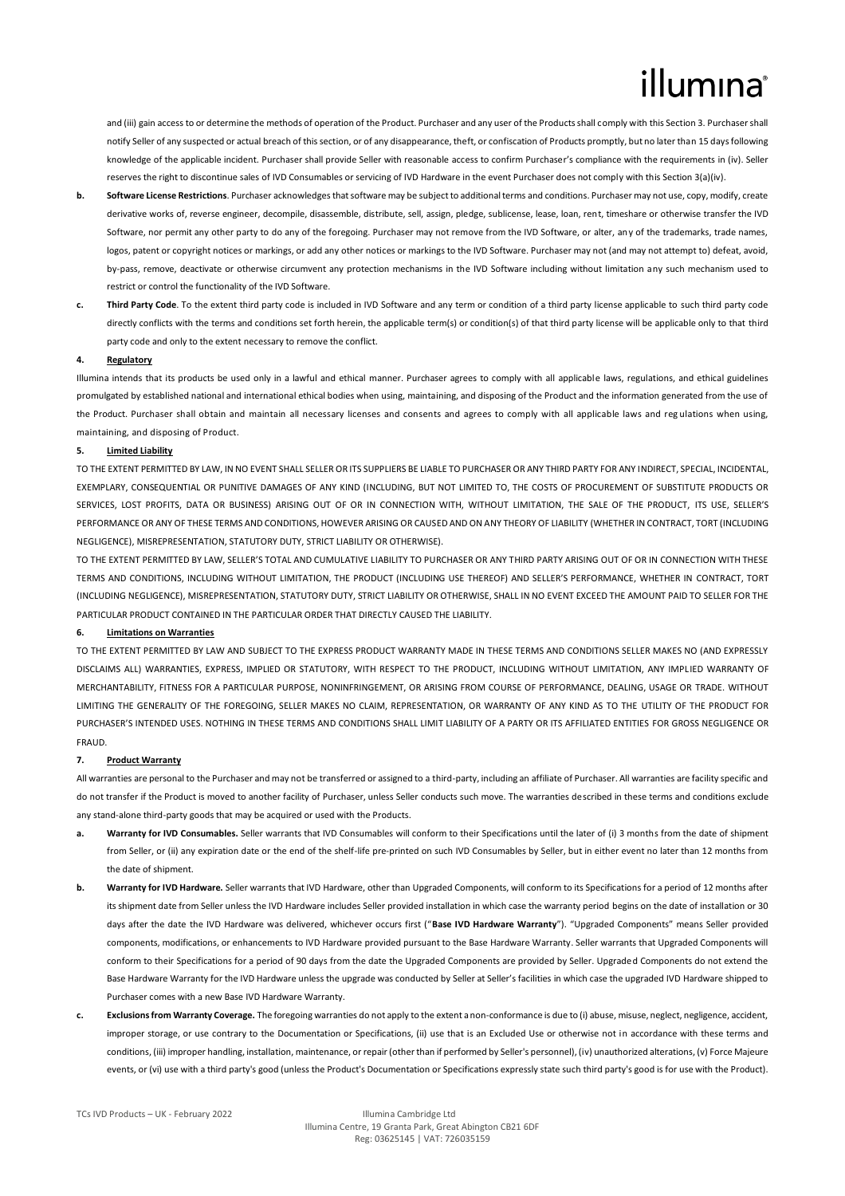and (iii) gain access to or determine the methods of operation of the Product. Purchaser and any user of the Products shall comply with this Section 3. Purchaser shall notify Seller of any suspected or actual breach of this section, or of any disappearance, theft, or confiscation of Products promptly, but no later than 15 days following knowledge of the applicable incident. Purchaser shall provide Seller with reasonable access to confirm Purchaser's compliance with the requirements in (iv). Seller reserves the right to discontinue sales of IVD Consumables or servicing of IVD Hardware in the event Purchaser does not comply with this Section 3(a)(iv).

- **b. Software License Restrictions**. Purchaser acknowledges that software may be subject to additional terms and conditions. Purchaser may not use, copy, modify, create derivative works of, reverse engineer, decompile, disassemble, distribute, sell, assign, pledge, sublicense, lease, loan, rent, timeshare or otherwise transfer the IVD Software, nor permit any other party to do any of the foregoing. Purchaser may not remove from the IVD Software, or alter, any of the trademarks, trade names, logos, patent or copyright notices or markings, or add any other notices or markings to the IVD Software. Purchaser may not (and may not attempt to) defeat, avoid, by-pass, remove, deactivate or otherwise circumvent any protection mechanisms in the IVD Software including without limitation any such mechanism used to restrict or control the functionality of the IVD Software.
- **c. Third Party Code**. To the extent third party code is included in IVD Software and any term or condition of a third party license applicable to such third party code directly conflicts with the terms and conditions set forth herein, the applicable term(s) or condition(s) of that third party license will be applicable only to that third party code and only to the extent necessary to remove the conflict.

#### **4. Regulatory**

Illumina intends that its products be used only in a lawful and ethical manner. Purchaser agrees to comply with all applicable laws, regulations, and ethical guidelines promulgated by established national and international ethical bodies when using, maintaining, and disposing of the Product and the information generated from the use of the Product. Purchaser shall obtain and maintain all necessary licenses and consents and agrees to comply with all applicable laws and reg ulations when using, maintaining, and disposing of Product.

### **5. Limited Liability**

TO THE EXTENT PERMITTED BY LAW, IN NO EVENT SHALL SELLER OR ITS SUPPLIERS BE LIABLE TO PURCHASER OR ANY THIRD PARTY FOR ANY INDIRECT, SPECIAL, INCIDENTAL, EXEMPLARY, CONSEQUENTIAL OR PUNITIVE DAMAGES OF ANY KIND (INCLUDING, BUT NOT LIMITED TO, THE COSTS OF PROCUREMENT OF SUBSTITUTE PRODUCTS OR SERVICES, LOST PROFITS, DATA OR BUSINESS) ARISING OUT OF OR IN CONNECTION WITH, WITHOUT LIMITATION, THE SALE OF THE PRODUCT, ITS USE, SELLER'S PERFORMANCE OR ANY OF THESE TERMS AND CONDITIONS, HOWEVER ARISING OR CAUSED AND ON ANY THEORY OF LIABILITY (WHETHER IN CONTRACT, TORT (INCLUDING NEGLIGENCE), MISREPRESENTATION, STATUTORY DUTY, STRICT LIABILITY OR OTHERWISE).

TO THE EXTENT PERMITTED BY LAW, SELLER'S TOTAL AND CUMULATIVE LIABILITY TO PURCHASER OR ANY THIRD PARTY ARISING OUT OF OR IN CONNECTION WITH THESE TERMS AND CONDITIONS, INCLUDING WITHOUT LIMITATION, THE PRODUCT (INCLUDING USE THEREOF) AND SELLER'S PERFORMANCE, WHETHER IN CONTRACT, TORT (INCLUDING NEGLIGENCE), MISREPRESENTATION, STATUTORY DUTY, STRICT LIABILITY OR OTHERWISE, SHALL IN NO EVENT EXCEED THE AMOUNT PAID TO SELLER FOR THE PARTICULAR PRODUCT CONTAINED IN THE PARTICULAR ORDER THAT DIRECTLY CAUSED THE LIABILITY.

### **6. Limitations on Warranties**

TO THE EXTENT PERMITTED BY LAW AND SUBJECT TO THE EXPRESS PRODUCT WARRANTY MADE IN THESE TERMS AND CONDITIONS SELLER MAKES NO (AND EXPRESSLY DISCLAIMS ALL) WARRANTIES, EXPRESS, IMPLIED OR STATUTORY, WITH RESPECT TO THE PRODUCT, INCLUDING WITHOUT LIMITATION, ANY IMPLIED WARRANTY OF MERCHANTABILITY, FITNESS FOR A PARTICULAR PURPOSE, NONINFRINGEMENT, OR ARISING FROM COURSE OF PERFORMANCE, DEALING, USAGE OR TRADE. WITHOUT LIMITING THE GENERALITY OF THE FOREGOING, SELLER MAKES NO CLAIM, REPRESENTATION, OR WARRANTY OF ANY KIND AS TO THE UTILITY OF THE PRODUCT FOR PURCHASER'S INTENDED USES. NOTHING IN THESE TERMS AND CONDITIONS SHALL LIMIT LIABILITY OF A PARTY OR ITS AFFILIATED ENTITIES FOR GROSS NEGLIGENCE OR FRAUD.

#### **7. Product Warranty**

All warranties are personal to the Purchaser and may not be transferred or assigned to a third-party, including an affiliate of Purchaser. All warranties are facility specific and do not transfer if the Product is moved to another facility of Purchaser, unless Seller conducts such move. The warranties described in these terms and conditions exclude any stand-alone third-party goods that may be acquired or used with the Products.

- **a. Warranty for IVD Consumables.** Seller warrants that IVD Consumables will conform to their Specifications until the later of (i) 3 months from the date of shipment from Seller, or (ii) any expiration date or the end of the shelf-life pre-printed on such IVD Consumables by Seller, but in either event no later than 12 months from the date of shipment.
- **b. Warranty for IVD Hardware.** Seller warrants that IVD Hardware, other than Upgraded Components, will conform to its Specifications for a period of 12 months after its shipment date from Seller unless the IVD Hardware includes Seller provided installation in which case the warranty period begins on the date of installation or 30 days after the date the IVD Hardware was delivered, whichever occurs first ("**Base IVD Hardware Warranty**"). "Upgraded Components" means Seller provided components, modifications, or enhancements to IVD Hardware provided pursuant to the Base Hardware Warranty. Seller warrants that Upgraded Components will conform to their Specifications for a period of 90 days from the date the Upgraded Components are provided by Seller. Upgraded Components do not extend the Base Hardware Warranty for the IVD Hardware unless the upgrade was conducted by Seller at Seller's facilities in which case the upgraded IVD Hardware shipped to Purchaser comes with a new Base IVD Hardware Warranty.
- **c. Exclusions from Warranty Coverage.** The foregoing warranties do not apply to the extent a non-conformance is due to (i) abuse, misuse, neglect, negligence, accident, improper storage, or use contrary to the Documentation or Specifications, (ii) use that is an Excluded Use or otherwise not in accordance with these terms and conditions, (iii) improper handling, installation, maintenance, or repair (other than if performed by Seller's personnel), (iv) unauthorized alterations, (v) Force Majeure events, or (vi) use with a third party's good (unless the Product's Documentation or Specifications expressly state such third party's good is for use with the Product).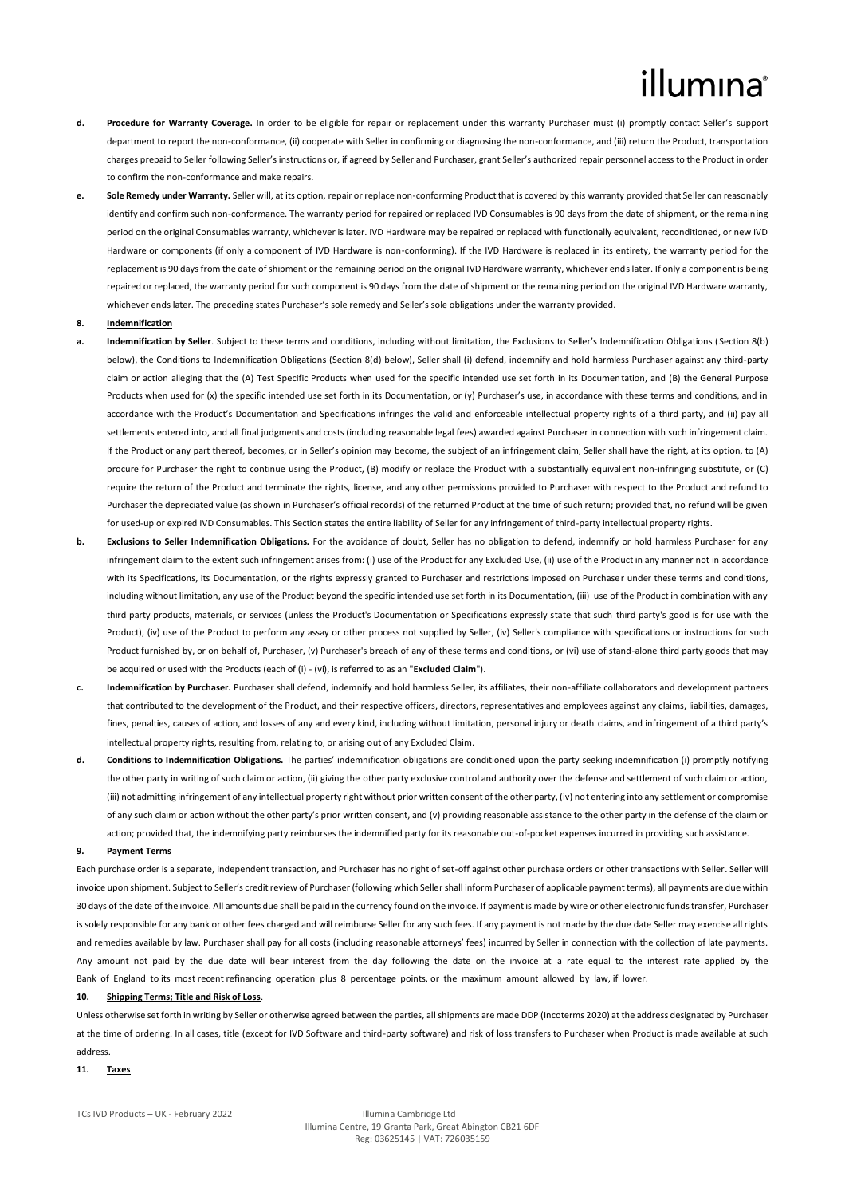- **d. Procedure for Warranty Coverage.** In order to be eligible for repair or replacement under this warranty Purchaser must (i) promptly contact Seller's support department to report the non-conformance, (ii) cooperate with Seller in confirming or diagnosing the non-conformance, and (iii) return the Product, transportation charges prepaid to Seller following Seller's instructions or, if agreed by Seller and Purchaser, grant Seller's authorized repair personnel access to the Product in order to confirm the non-conformance and make repairs.
- **e. Sole Remedy under Warranty.** Seller will, at its option, repair or replace non-conforming Product that is covered by this warranty provided that Seller can reasonably identify and confirm such non-conformance. The warranty period for repaired or replaced IVD Consumables is 90 days from the date of shipment, or the remaining period on the original Consumables warranty, whichever is later. IVD Hardware may be repaired or replaced with functionally equivalent, reconditioned, or new IVD Hardware or components (if only a component of IVD Hardware is non-conforming). If the IVD Hardware is replaced in its entirety, the warranty period for the replacement is 90 days from the date of shipment or the remaining period on the original IVD Hardware warranty, whichever ends later. If only a component is being repaired or replaced, the warranty period for such component is 90 days from the date of shipment or the remaining period on the original IVD Hardware warranty, whichever ends later. The preceding states Purchaser's sole remedy and Seller's sole obligations under the warranty provided.

#### **8. Indemnification**

- **a. Indemnification by Seller**. Subject to these terms and conditions, including without limitation, the Exclusions to Seller's Indemnification Obligations (Section 8(b) below), the Conditions to Indemnification Obligations (Section 8(d) below), Seller shall (i) defend, indemnify and hold harmless Purchaser against any third-party claim or action alleging that the (A) Test Specific Products when used for the specific intended use set forth in its Documentation, and (B) the General Purpose Products when used for (x) the specific intended use set forth in its Documentation, or (y) Purchaser's use, in accordance with these terms and conditions, and in accordance with the Product's Documentation and Specifications infringes the valid and enforceable intellectual property rights of a third party, and (ii) pay all settlements entered into, and all final judgments and costs (including reasonable legal fees) awarded against Purchaser in connection with such infringement claim. If the Product or any part thereof, becomes, or in Seller's opinion may become, the subject of an infringement claim, Seller shall have the right, at its option, to (A) procure for Purchaser the right to continue using the Product, (B) modify or replace the Product with a substantially equivalent non-infringing substitute, or (C) require the return of the Product and terminate the rights, license, and any other permissions provided to Purchaser with respect to the Product and refund to Purchaser the depreciated value (as shown in Purchaser's official records) of the returned Product at the time of such return; provided that, no refund will be given for used-up or expired IVD Consumables. This Section states the entire liability of Seller for any infringement of third-party intellectual property rights.
- **b. Exclusions to Seller Indemnification Obligations.** For the avoidance of doubt, Seller has no obligation to defend, indemnify or hold harmless Purchaser for any infringement claim to the extent such infringement arises from: (i) use of the Product for any Excluded Use, (ii) use of the Product in any manner not in accordance with its Specifications, its Documentation, or the rights expressly granted to Purchaser and restrictions imposed on Purchaser under these terms and conditions, including without limitation, any use of the Product beyond the specific intended use set forth in its Documentation, (iii) use of the Product in combination with any third party products, materials, or services (unless the Product's Documentation or Specifications expressly state that such third party's good is for use with the Product), (iv) use of the Product to perform any assay or other process not supplied by Seller, (iv) Seller's compliance with specifications or instructions for such Product furnished by, or on behalf of, Purchaser, (v) Purchaser's breach of any of these terms and conditions, or (vi) use of stand-alone third party goods that may be acquired or used with the Products (each of (i) - (vi), is referred to as an "**Excluded Claim**").
- **c. Indemnification by Purchaser.** Purchaser shall defend, indemnify and hold harmless Seller, its affiliates, their non-affiliate collaborators and development partners that contributed to the development of the Product, and their respective officers, directors, representatives and employees against any claims, liabilities, damages, fines, penalties, causes of action, and losses of any and every kind, including without limitation, personal injury or death claims, and infringement of a third party's intellectual property rights, resulting from, relating to, or arising out of any Excluded Claim.
- **d. Conditions to Indemnification Obligations.** The parties' indemnification obligations are conditioned upon the party seeking indemnification (i) promptly notifying the other party in writing of such claim or action, (ii) giving the other party exclusive control and authority over the defense and settlement of such claim or action, (iii) not admitting infringement of any intellectual property right without prior written consent of the other party, (iv) not entering into any settlement or compromise of any such claim or action without the other party's prior written consent, and (v) providing reasonable assistance to the other party in the defense of the claim or action; provided that, the indemnifying party reimburses the indemnified party for its reasonable out-of-pocket expenses incurred in providing such assistance.

#### **9. Payment Terms**

Each purchase order is a separate, independent transaction, and Purchaser has no right of set-off against other purchase orders or other transactions with Seller. Seller will invoice upon shipment. Subject to Seller's credit review of Purchaser (following which Seller shall inform Purchaser of applicable payment terms), all payments are due within 30 days of the date of the invoice. All amounts due shall be paid in the currency found on the invoice. If payment is made by wire or other electronic funds transfer, Purchaser is solely responsible for any bank or other fees charged and will reimburse Seller for any such fees. If any payment is not made by the due date Seller may exercise all rights and remedies available by law. Purchaser shall pay for all costs (including reasonable attorneys' fees) incurred by Seller in connection with the collection of late payments. Any amount not paid by the due date will bear interest from the day following the date on the invoice at a rate equal to the interest rate applied by the Bank of England to its most recent refinancing operation plus 8 percentage points, or the maximum amount allowed by law, if lower.

## **10. Shipping Terms; Title and Risk of Loss**.

Unless otherwise set forth in writing by Seller or otherwise agreed between the parties, all shipments are made DDP (Incoterms 2020) at the address designated by Purchaser at the time of ordering. In all cases, title (except for IVD Software and third-party software) and risk of loss transfers to Purchaser when Product is made available at such address.

**11. Taxes**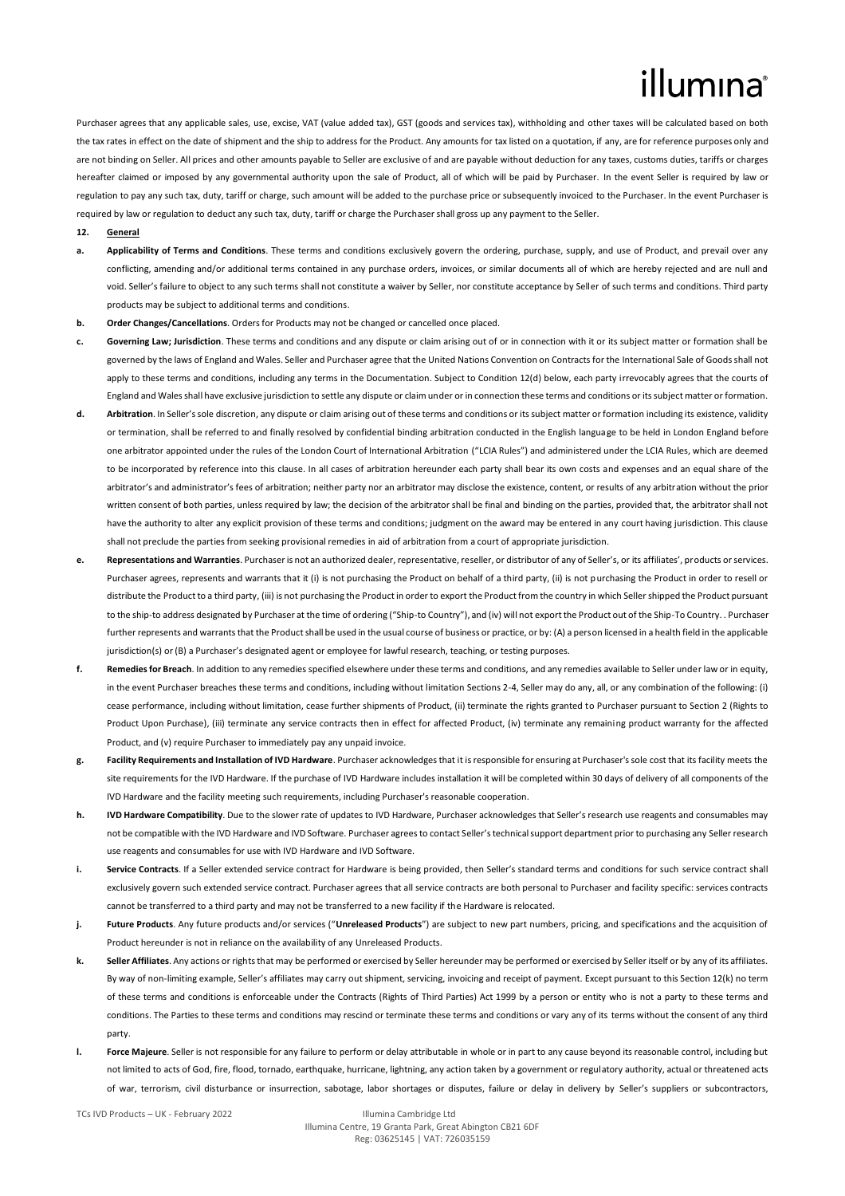Purchaser agrees that any applicable sales, use, excise, VAT (value added tax), GST (goods and services tax), withholding and other taxes will be calculated based on both the tax rates in effect on the date of shipment and the ship to address for the Product. Any amounts for tax listed on a quotation, if any, are for reference purposes only and are not binding on Seller. All prices and other amounts payable to Seller are exclusive of and are payable without deduction for any taxes, customs duties, tariffs or charges hereafter claimed or imposed by any governmental authority upon the sale of Product, all of which will be paid by Purchaser. In the event Seller is required by law or regulation to pay any such tax, duty, tariff or charge, such amount will be added to the purchase price or subsequently invoiced to the Purchaser. In the event Purchaser is required by law or regulation to deduct any such tax, duty, tariff or charge the Purchaser shall gross up any payment to the Seller.

#### **12. General**

- **a. Applicability of Terms and Conditions**. These terms and conditions exclusively govern the ordering, purchase, supply, and use of Product, and prevail over any conflicting, amending and/or additional terms contained in any purchase orders, invoices, or similar documents all of which are hereby rejected and are null and void. Seller's failure to object to any such terms shall not constitute a waiver by Seller, nor constitute acceptance by Seller of such terms and conditions. Third party products may be subject to additional terms and conditions.
- **b. Order Changes/Cancellations**. Orders for Products may not be changed or cancelled once placed.
- **c. Governing Law; Jurisdiction**. These terms and conditions and any dispute or claim arising out of or in connection with it or its subject matter or formation shall be governed by the laws of England and Wales. Seller and Purchaser agree that the United Nations Convention on Contracts for the International Sale of Goods shall not apply to these terms and conditions, including any terms in the Documentation. Subject to Condition 12(d) below, each party irrevocably agrees that the courts of England and Wales shall have exclusive jurisdiction to settle any dispute or claim under or in connection these terms and conditions or its subject matter or formation.
- **d. Arbitration**. In Seller's sole discretion, any dispute or claim arising out of these terms and conditions or its subject matter or formation including its existence, validity or termination, shall be referred to and finally resolved by confidential binding arbitration conducted in the English language to be held in London England before one arbitrator appointed under the rules of the London Court of International Arbitration ("LCIA Rules") and administered under the LCIA Rules, which are deemed to be incorporated by reference into this clause. In all cases of arbitration hereunder each party shall bear its own costs and expenses and an equal share of the arbitrator's and administrator's fees of arbitration; neither party nor an arbitrator may disclose the existence, content, or results of any arbitration without the prior written consent of both parties, unless required by law; the decision of the arbitrator shall be final and binding on the parties, provided that, the arbitrator shall not have the authority to alter any explicit provision of these terms and conditions; judgment on the award may be entered in any court having jurisdiction. This clause shall not preclude the parties from seeking provisional remedies in aid of arbitration from a court of appropriate jurisdiction.
- **e. Representations and Warranties**. Purchaser is not an authorized dealer, representative, reseller, or distributor of any of Seller's, or its affiliates', products or services. Purchaser agrees, represents and warrants that it (i) is not purchasing the Product on behalf of a third party, (ii) is not purchasing the Product in order to resell or distribute the Product to a third party, (iii) is not purchasing the Product in order to export the Product from the country in which Seller shipped the Product pursuant to the ship-to address designated by Purchaser at the time of ordering ("Ship-to Country"), and (iv) will not export the Product out of the Ship-To Country. . Purchaser further represents and warrants that the Product shall be used in the usual course of business or practice, or by: (A) a person licensed in a health field in the applicable jurisdiction(s) or (B) a Purchaser's designated agent or employee for lawful research, teaching, or testing purposes.
- **f. Remedies for Breach**. In addition to any remedies specified elsewhere under these terms and conditions, and any remedies available to Seller under law or in equity, in the event Purchaser breaches these terms and conditions, including without limitation Sections 2-4, Seller may do any, all, or any combination of the following: (i) cease performance, including without limitation, cease further shipments of Product, (ii) terminate the rights granted to Purchaser pursuant to Section 2 (Rights to Product Upon Purchase), (iii) terminate any service contracts then in effect for affected Product, (iv) terminate any remaining product warranty for the affected Product, and (v) require Purchaser to immediately pay any unpaid invoice.
- **g. Facility Requirements and Installation of IVD Hardware**. Purchaser acknowledges that it is responsible for ensuring at Purchaser's sole cost that its facility meets the site requirements for the IVD Hardware. If the purchase of IVD Hardware includes installation it will be completed within 30 days of delivery of all components of the IVD Hardware and the facility meeting such requirements, including Purchaser's reasonable cooperation.
- **h. IVD Hardware Compatibility**. Due to the slower rate of updates to IVD Hardware, Purchaser acknowledges that Seller's research use reagents and consumables may not be compatible with the IVD Hardware and IVD Software. Purchaser agrees to contact Seller's technical support department prior to purchasing any Seller research use reagents and consumables for use with IVD Hardware and IVD Software.
- **i.** Service Contracts. If a Seller extended service contract for Hardware is being provided, then Seller's standard terms and conditions for such service contract shall exclusively govern such extended service contract. Purchaser agrees that all service contracts are both personal to Purchaser and facility specific: services contracts cannot be transferred to a third party and may not be transferred to a new facility if the Hardware is relocated.
- **j. Future Products**. Any future products and/or services ("**Unreleased Products**") are subject to new part numbers, pricing, and specifications and the acquisition of Product hereunder is not in reliance on the availability of any Unreleased Products.
- **k. Seller Affiliates**. Any actions or rights that may be performed or exercised by Seller hereunder may be performed or exercised by Seller itself or by any of its affiliates. By way of non-limiting example, Seller's affiliates may carry out shipment, servicing, invoicing and receipt of payment. Except pursuant to this Section 12(k) no term of these terms and conditions is enforceable under the Contracts (Rights of Third Parties) Act 1999 by a person or entity who is not a party to these terms and conditions. The Parties to these terms and conditions may rescind or terminate these terms and conditions or vary any of its terms without the consent of any third party.
- **l. Force Majeure**. Seller is not responsible for any failure to perform or delay attributable in whole or in part to any cause beyond its reasonable control, including but not limited to acts of God, fire, flood, tornado, earthquake, hurricane, lightning, any action taken by a government or regulatory authority, actual or threatened acts of war, terrorism, civil disturbance or insurrection, sabotage, labor shortages or disputes, failure or delay in delivery by Seller's suppliers or subcontractors,